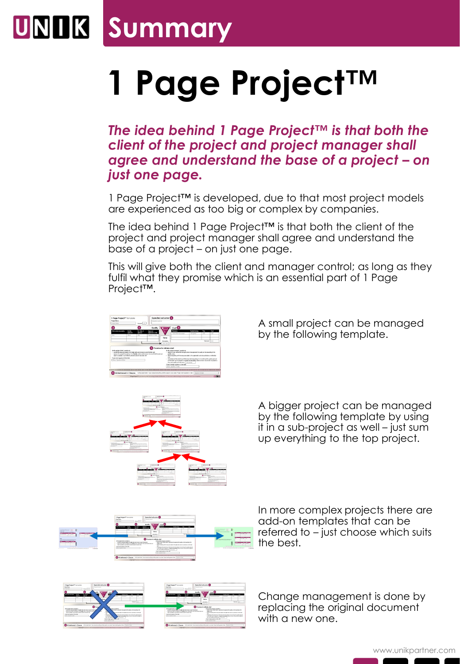## **UNIK Summary**

## **1 Page Project™**

*The idea behind 1 Page Project™ is that both the client of the project and project manager shall agree and understand the base of a project – on just one page.* 

1 Page Project™ is developed, due to that most project models are experienced as too big or complex by companies.

The idea behind 1 Page Project™ is that both the client of the project and project manager shall agree and understand the base of a project – on just one page.

This will give both the client and manager control; as long as they fulfil what they promise which is an essential part of 1 Page Project™.





A small project can be managed by the following template.

A bigger project can be managed by the following template by using it in a sub-project as well – just sum up everything to the top project.



In more complex projects there are add-on templates that can be referred to – just choose which suits the best.



Change management is done by replacing the original document with a new one.